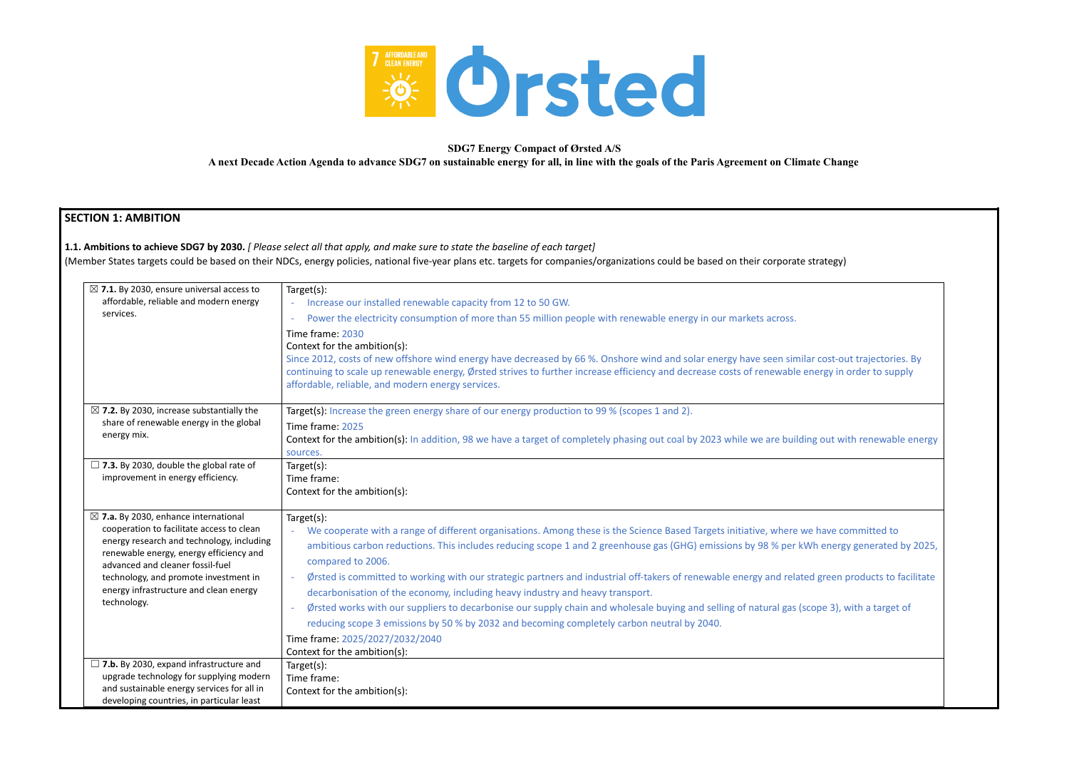

### **SDG7 Energy Compact of Ørsted A/S**

**A next Decade Action Agenda to advance SDG7 on sustainable energy for all, in line with the goals of the Paris Agreement on Climate Change**

# **SECTION 1: AMBITION**

**1.1. Ambitions to achieve SDG7 by 2030.** *[ Please select all that apply, and make sure to state the baseline of each target]*

(Member States targets could be based on their NDCs, energy policies, national five-year plans etc. targets for companies/organizations could be based on their corporate strategy)



| $\boxtimes$ 7.1. By 2030, ensure universal access to<br>affordable, reliable and modern energy<br>services.                                                                                                                                                                                                                | Target(s):<br>Increase our installed renewable capacity from 12 to 50 GW.<br>$\omega$<br>Power the electricity consumption of more than 55 million people with renewable energy in our markets across.<br>Time frame: 2030<br>Context for the ambition(s):<br>Since 2012, costs of new offshore wind energy have decreased by 66 %. Onshore wind and solar energy have seen similary<br>continuing to scale up renewable energy, Ørsted strives to further increase efficiency and decrease costs of renewable e<br>affordable, reliable, and modern energy services.                                                                                                                                                                                                     |
|----------------------------------------------------------------------------------------------------------------------------------------------------------------------------------------------------------------------------------------------------------------------------------------------------------------------------|---------------------------------------------------------------------------------------------------------------------------------------------------------------------------------------------------------------------------------------------------------------------------------------------------------------------------------------------------------------------------------------------------------------------------------------------------------------------------------------------------------------------------------------------------------------------------------------------------------------------------------------------------------------------------------------------------------------------------------------------------------------------------|
| $\boxtimes$ 7.2. By 2030, increase substantially the<br>share of renewable energy in the global<br>energy mix.                                                                                                                                                                                                             | Target(s): Increase the green energy share of our energy production to 99 % (scopes 1 and 2).<br>Time frame: 2025<br>Context for the ambition(s): In addition, 98 we have a target of completely phasing out coal by 2023 while we are buildir<br>sources.                                                                                                                                                                                                                                                                                                                                                                                                                                                                                                                |
| $\Box$ 7.3. By 2030, double the global rate of<br>improvement in energy efficiency.                                                                                                                                                                                                                                        | Target(s):<br>Time frame:<br>Context for the ambition(s):                                                                                                                                                                                                                                                                                                                                                                                                                                                                                                                                                                                                                                                                                                                 |
| $\boxtimes$ 7.a. By 2030, enhance international<br>cooperation to facilitate access to clean<br>energy research and technology, including<br>renewable energy, energy efficiency and<br>advanced and cleaner fossil-fuel<br>technology, and promote investment in<br>energy infrastructure and clean energy<br>technology. | Target(s):<br>We cooperate with a range of different organisations. Among these is the Science Based Targets initiative, where we<br>ambitious carbon reductions. This includes reducing scope 1 and 2 greenhouse gas (GHG) emissions by 98 % per kW<br>compared to 2006.<br>Ørsted is committed to working with our strategic partners and industrial off-takers of renewable energy and relate<br>decarbonisation of the economy, including heavy industry and heavy transport.<br>Ørsted works with our suppliers to decarbonise our supply chain and wholesale buying and selling of natural gas (so<br>reducing scope 3 emissions by 50 % by 2032 and becoming completely carbon neutral by 2040.<br>Time frame: 2025/2027/2032/2040<br>Context for the ambition(s): |
| $\Box$ 7.b. By 2030, expand infrastructure and<br>upgrade technology for supplying modern<br>and sustainable energy services for all in<br>developing countries, in particular least                                                                                                                                       | Target(s):<br>Time frame:<br>Context for the ambition(s):                                                                                                                                                                                                                                                                                                                                                                                                                                                                                                                                                                                                                                                                                                                 |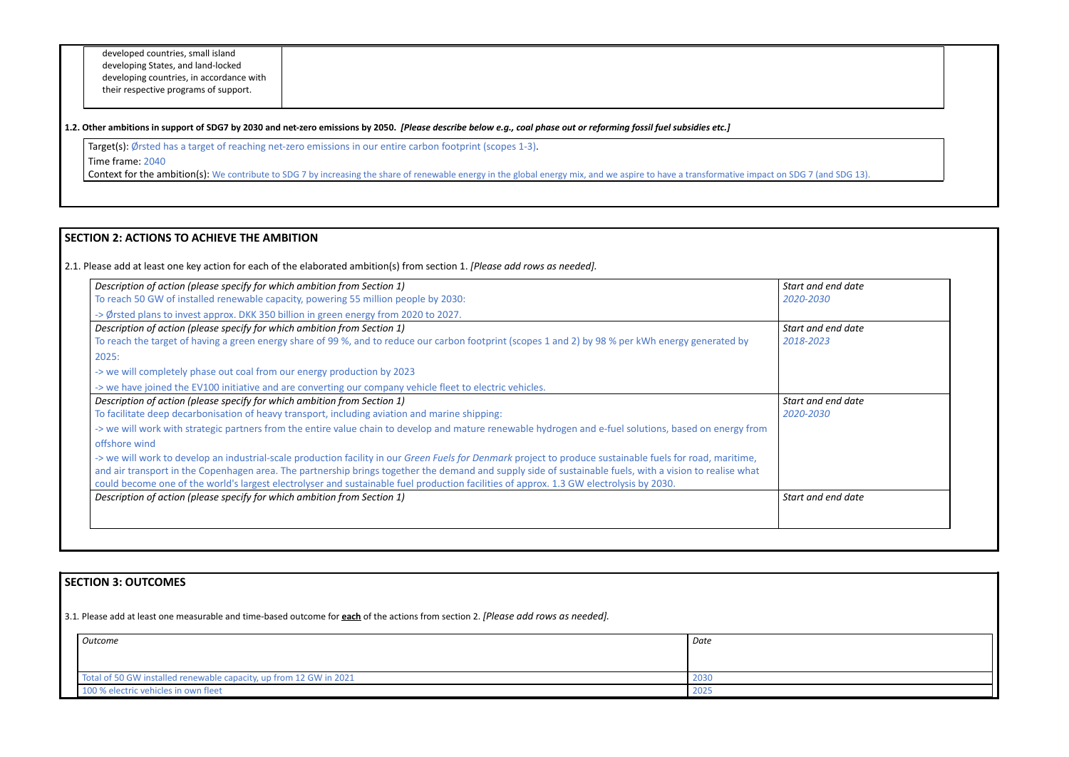developed countries, small island developing States, and land-locked developing countries, in accordance with their respective programs of support.

#### 1.2. Other ambitions in support of SDG7 by 2030 and net-zero emissions by 2050. [Please describe below e.g., coal phase out or reforming fossil fuel subsidies etc.]

Target(s): Ørsted has a target of reaching net-zero emissions in our entire carbon footprint (scopes 1-3).

Time frame: 2040

**Context for the ambition(s):** We contribute to SDG 7 by increasing the share of renewable energy in the global energy mix, and we aspire to have a transformative impact on SDG 7

# **SECTION 2: ACTIONS TO ACHIEVE THE AMBITION**

2.1. Please add at least one key action for each of the elaborated ambition(s) from section 1. *[Please add rows as needed].*

| Description of action (please specify for which ambition from Section 1)                                                                                                                                                                                                                                                                                                                                                                                          | Start and end date |
|-------------------------------------------------------------------------------------------------------------------------------------------------------------------------------------------------------------------------------------------------------------------------------------------------------------------------------------------------------------------------------------------------------------------------------------------------------------------|--------------------|
| To reach 50 GW of installed renewable capacity, powering 55 million people by 2030:                                                                                                                                                                                                                                                                                                                                                                               | 2020-2030          |
| -> Ørsted plans to invest approx. DKK 350 billion in green energy from 2020 to 2027.                                                                                                                                                                                                                                                                                                                                                                              |                    |
| Description of action (please specify for which ambition from Section 1)                                                                                                                                                                                                                                                                                                                                                                                          | Start and end date |
| To reach the target of having a green energy share of 99%, and to reduce our carbon footprint (scopes 1 and 2) by 98% per kWh energy generated by                                                                                                                                                                                                                                                                                                                 | 2018-2023          |
| 2025:                                                                                                                                                                                                                                                                                                                                                                                                                                                             |                    |
| -> we will completely phase out coal from our energy production by 2023                                                                                                                                                                                                                                                                                                                                                                                           |                    |
| -> we have joined the EV100 initiative and are converting our company vehicle fleet to electric vehicles.                                                                                                                                                                                                                                                                                                                                                         |                    |
| Description of action (please specify for which ambition from Section 1)                                                                                                                                                                                                                                                                                                                                                                                          | Start and end date |
| To facilitate deep decarbonisation of heavy transport, including aviation and marine shipping:                                                                                                                                                                                                                                                                                                                                                                    | 2020-2030          |
| -> we will work with strategic partners from the entire value chain to develop and mature renewable hydrogen and e-fuel solutions, based on energy from                                                                                                                                                                                                                                                                                                           |                    |
| offshore wind                                                                                                                                                                                                                                                                                                                                                                                                                                                     |                    |
| -> we will work to develop an industrial-scale production facility in our Green Fuels for Denmark project to produce sustainable fuels for road, maritime,<br>and air transport in the Copenhagen area. The partnership brings together the demand and supply side of sustainable fuels, with a vision to realise what<br>could become one of the world's largest electrolyser and sustainable fuel production facilities of approx. 1.3 GW electrolysis by 2030. |                    |
| Description of action (please specify for which ambition from Section 1)                                                                                                                                                                                                                                                                                                                                                                                          | Start and end date |

| n SDG 7 (and SDG 13).           |  |
|---------------------------------|--|
|                                 |  |
|                                 |  |
| Start and end date<br>2020-2030 |  |
| Start and end date<br>2018-2023 |  |
| Start and end date<br>2020-2030 |  |
| Start and end date              |  |
|                                 |  |
|                                 |  |

# **SECTION 3: OUTCOMES**

3.1*.* Please add at least one measurable and time-based outcome for **each** of the actions from section 2. *[Please add rows as needed].*

| Outcome                                                            | Date |
|--------------------------------------------------------------------|------|
|                                                                    |      |
| Total of 50 GW installed renewable capacity, up from 12 GW in 2021 | 2030 |
| 100 % electric vehicles in own fleet                               | 2025 |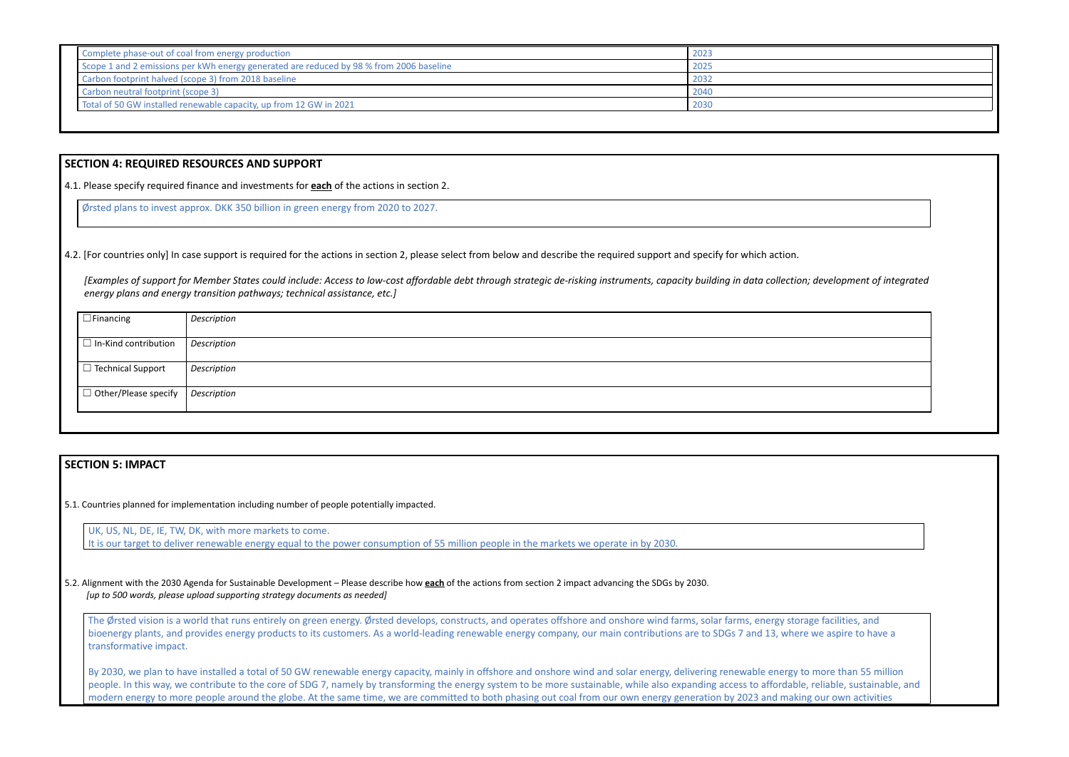| Complete phase-out of coal from energy production                                       | 2023 |
|-----------------------------------------------------------------------------------------|------|
| Scope 1 and 2 emissions per kWh energy generated are reduced by 98 % from 2006 baseline | 2025 |
| Carbon footprint halved (scope 3) from 2018 baseline                                    | 2032 |
| Carbon neutral footprint (scope 3)                                                      | 2040 |
| Total of 50 GW installed renewable capacity, up from 12 GW in 2021                      | 2030 |

### **SECTION 4: REQUIRED RESOURCES AND SUPPORT**

4.1. Please specify required finance and investments for **each** of the actions in section 2.

Ørsted plans to invest approx. DKK 350 billion in green energy from 2020 to 2027.

4.2. [For countries only] In case support is required for the actions in section 2, please select from below and describe the required support and specify for which action.

*[Examples of support for Member States could include: Access to low-cost affordable debt through strategic de-risking instruments, capacity building in data collection; development of integrated energy plans and energy transition pathways; technical assistance, etc.]*

The Ørsted vision is a world that runs entirely on green energy. Ørsted develops, constructs, and operates offshore and onshore wind farms, solar farms, energy storage facilities, and bioenergy plants, and provides energy products to its customers. As a world-leading renewable energy company, our main contributions are to SDGs 7 and 13, where we aspire to have a transformative impact.

| $\Box$ Financing                          | Description |
|-------------------------------------------|-------------|
| $\Box$ In-Kind contribution               | Description |
| $\Box$ Technical Support                  | Description |
| $\Box$ Other/Please specify   Description |             |
|                                           |             |

## **SECTION 5: IMPACT**

5.1. Countries planned for implementation including number of people potentially impacted.

By 2030, we plan to have installed a total of 50 GW renewable energy capacity, mainly in offshore and onshore wind and solar energy, delivering renewable energy to more than 55 million people. In this way, we contribute to the core of SDG 7, namely by transforming the energy system to be more sustainable, while also expanding access to affordable, reliable, sustainable, and modern energy to more people around the globe. At the same time, we are committed to both phasing out coal from our own energy generation by 2023 and making our own activities







UK, US, NL, DE, IE, TW, DK, with more markets to come. It is our target to deliver renewable energy equal to the power consumption of 55 million people in the markets we operate in by 2030.

5.2. Alignment with the 2030 Agenda for Sustainable Development – Please describe how **each** of the actions from section 2 impact advancing the SDGs by 2030. *[up to 500 words, please upload supporting strategy documents as needed]*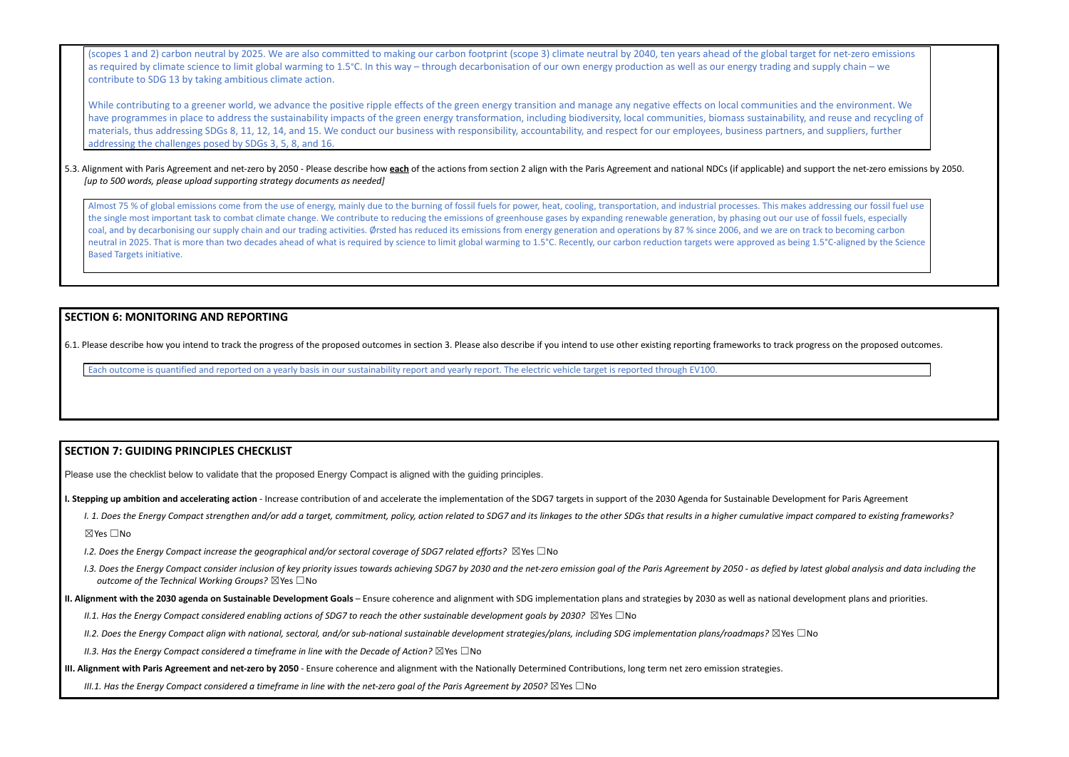(scopes 1 and 2) carbon neutral by 2025. We are also committed to making our carbon footprint (scope 3) climate neutral by 2040, ten years ahead of the global target for net-zero emissions as required by climate science to limit global warming to 1.5°C. In this way – through decarbonisation of our own energy production as well as our energy trading and supply chain – we contribute to SDG 13 by taking ambitious climate action.

#### 5.3. Alignment with Paris Agreement and net-zero by 2050 - Please describe how each of the actions from section 2 align with the Paris Agreement and national NDCs (if applicable) and support the net-zero emissions by 2050. *[up to 500 words, please upload supporting strategy documents as needed]*

While contributing to a greener world, we advance the positive ripple effects of the green energy transition and manage any negative effects on local communities and the environment. We have programmes in place to address the sustainability impacts of the green energy transformation, including biodiversity, local communities, biomass sustainability, and reuse and recycling of materials, thus addressing SDGs 8, 11, 12, 14, and 15. We conduct our business with responsibility, accountability, and respect for our employees, business partners, and suppliers, further addressing the challenges posed by SDGs 3, 5, 8, and 16.

Almost 75 % of global emissions come from the use of energy, mainly due to the burning of fossil fuels for power, heat, cooling, transportation, and industrial processes. This makes addressing our fossil fuel use the single most important task to combat climate change. We contribute to reducing the emissions of greenhouse gases by expanding renewable generation, by phasing out our use of fossil fuels, especially coal, and by decarbonising our supply chain and our trading activities. Ørsted has reduced its emissions from energy generation and operations by 87 % since 2006, and we are on track to becoming carbon neutral in 2025. That is more than two decades ahead of what is required by science to limit global warming to 1.5°C. Recently, our carbon reduction targets were approved as being 1.5°C-aligned by the Science Based Targets initiative.

## **SECTION 6: MONITORING AND REPORTING**

6.1. Please describe how you intend to track the progress of the proposed outcomes in section 3. Please also describe if you intend to use other existing reporting frameworks to track progress on the proposed outcomes.

Each outcome is quantified and reported on a yearly basis in our sustainability report and yearly report. The electric vehicle target is reported through EV100.

# **SECTION 7: GUIDING PRINCIPLES CHECKLIST**

Please use the checklist below to validate that the proposed Energy Compact is aligned with the guiding principles.

I. Stepping up ambition and accelerating action - Increase contribution of and accelerate the implementation of the SDG7 targets in support of the 2030 Agenda for Sustainable Development for Paris Agreement

- 1. 1. Does the Energy Compact strengthen and/or add a target, commitment, policy, action related to SDG7 and its linkages to the other SDGs that results in a higher cumulative impact compared to existing frameworks? ☒Yes ☐No
- *I.2. Does the Energy Compact increase the geographical and/or sectoral coverage of SDG7 related efforts?* ☒Yes ☐No
- I.3. Does the Energy Compact consider inclusion of key priority issues towards achieving SDG7 by 2030 and the net-zero emission goal of the Paris Agreement by 2050 as defied by latest global analysis and data including t *outcome of the Technical Working Groups?* ☒Yes ☐No
- II. Alignment with the 2030 agenda on Sustainable Development Goals Ensure coherence and alignment with SDG implementation plans and strategies by 2030 as well as national development plans and priorities.
	- II.1. Has the Energy Compact considered enabling actions of SDG7 to reach the other sustainable development goals by 2030?  $\boxtimes$  Yes  $\Box$  No
	- II.2. Does the Energy Compact align with national, sectoral, and/or sub-national sustainable development strategies/plans, including SDG implementation plans/roadmaps?  $\boxtimes$ Yes  $\Box$ No

*II.3. Has the Energy Compact considered a timeframe in line with the Decade of Action?* ☒Yes ☐No

III. Alignment with Paris Agreement and net-zero by 2050 - Ensure coherence and alignment with the Nationally Determined Contributions, long term net zero emission strategies.

III.1. Has the Enerav Compact considered a timeframe in line with the net-zero aoal of the Paris Aareement by 2050?  $\boxtimes$  Yes  $\Box$  No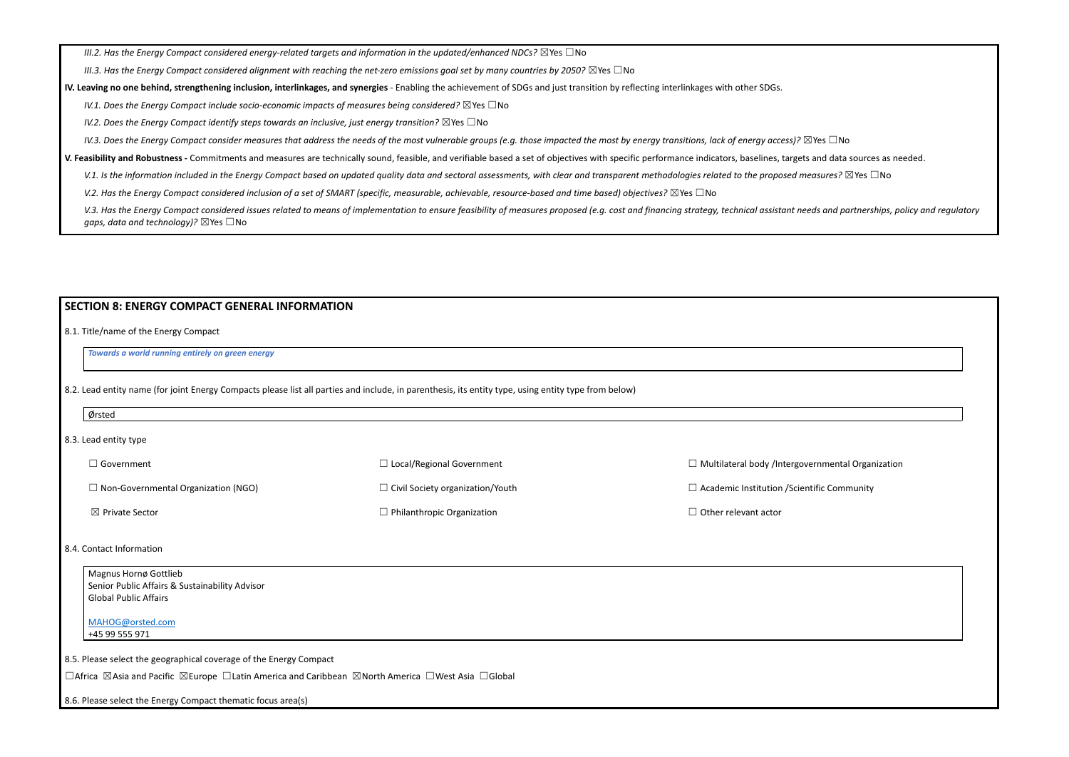*III.2. Has the Energy Compact considered energy-related targets and information in the updated/enhanced NDCs?* ☒Yes ☐No

III.3. Has the Energy Compact considered alignment with reaching the net-zero emissions goal set by many countries by 2050?  $\boxtimes$  Yes  $\Box$  No

IV. Leaving no one behind, strengthening inclusion, interlinkages, and synergies - Enabling the achievement of SDGs and just transition by reflecting interlinkages with other SDGs.

*IV.1. Does the Energy Compact include socio-economic impacts of measures being considered?* ☒Yes ☐No

*IV.2. Does the Energy Compact identify steps towards an inclusive, just energy transition?* ☒Yes ☐No

IV.3. Does the Energy Compact consider measures that address the needs of the most vulnerable groups (e.g. those impacted the most by energy transitions, lack of energy access)?  $\boxtimes$  Yes  $\Box$  No

V. Feasibility and Robustness - Commitments and measures are technically sound, feasible, and verifiable based a set of objectives with specific performance indicators, baselines, targets and data sources as needed.

V.1. Is the information included in the Energy Compact based on updated quality data and sectoral assessments, with clear and transparent methodologies related to the proposed measures?  $\boxtimes$  Yes  $\Box$  No

V.2. Has the Energy Compact considered inclusion of a set of SMART (specific, measurable, achievable, resource-based and time based) objectives?  $\boxtimes$  Yes  $\Box$  No

V.3. Has the Energy Compact considered issues related to means of implementation to ensure feasibility of measures proposed (e.g. cost and financing strategy, technical assistant needs and partnerships, policy and regulato *gaps, data and technology)?* ⊠Yes □No

### **SECTION 8: ENERGY COMPACT GENERAL INFORMATION**

8.1. Title/name of the Energy Compact

*Towards a world running entirely on green energy*

8.2. Lead entity name (for joint Energy Compacts please list all parties and include, in parenthesis, its entity type, using entity type from below)

| Ørsted                                                                                                                              |                                         |                                       |
|-------------------------------------------------------------------------------------------------------------------------------------|-----------------------------------------|---------------------------------------|
| 8.3. Lead entity type                                                                                                               |                                         |                                       |
| $\Box$ Government                                                                                                                   | $\Box$ Local/Regional Government        | $\Box$ Multilateral body /Intergover  |
| $\Box$ Non-Governmental Organization (NGO)                                                                                          | $\Box$ Civil Society organization/Youth | $\Box$ Academic Institution / Scienti |
|                                                                                                                                     |                                         |                                       |
| ⊠ Private Sector                                                                                                                    | $\Box$ Philanthropic Organization       | $\Box$ Other relevant actor           |
| 8.4. Contact Information<br>Magnus Hornø Gottlieb<br>Senior Public Affairs & Sustainability Advisor<br><b>Global Public Affairs</b> |                                         |                                       |

☐Africa ☒Asia and Pacific ☒Europe ☐Latin America and Caribbean ☒North America ☐West Asia ☐Global

8.6. Please select the Energy Compact thematic focus area(s)

rnmental Organization

ific Community